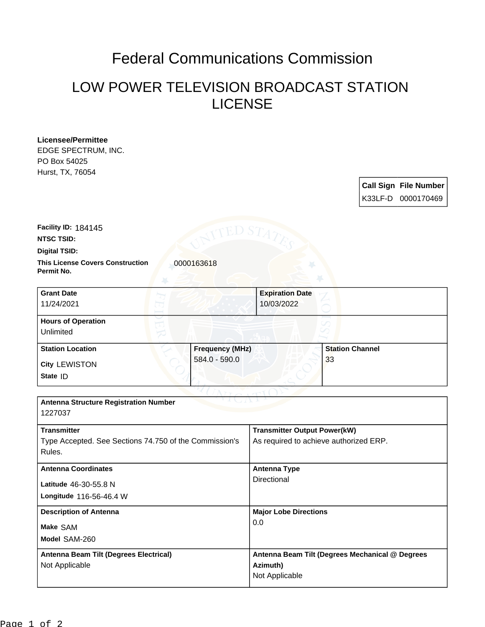## Federal Communications Commission

## LOW POWER TELEVISION BROADCAST STATION LICENSE

| Licensee/Permittee                                                  |                                                  |
|---------------------------------------------------------------------|--------------------------------------------------|
| EDGE SPECTRUM, INC.                                                 |                                                  |
| PO Box 54025                                                        |                                                  |
| Hurst, TX, 76054                                                    |                                                  |
|                                                                     | <b>Call Sign File Number</b>                     |
|                                                                     | K33LF-D 0000170469                               |
|                                                                     |                                                  |
|                                                                     |                                                  |
| Facility ID: 184145                                                 |                                                  |
| <b>NTSC TSID:</b>                                                   |                                                  |
| Digital TSID:                                                       |                                                  |
| <b>This License Covers Construction</b><br>0000163618<br>Permit No. |                                                  |
| <b>Grant Date</b>                                                   | <b>Expiration Date</b>                           |
| 11/24/2021                                                          | 10/03/2022                                       |
|                                                                     |                                                  |
| <b>Hours of Operation</b>                                           |                                                  |
| Unlimited                                                           |                                                  |
| <b>Station Location</b>                                             | <b>Station Channel</b><br><b>Frequency (MHz)</b> |
| 584.0 - 590.0<br>City LEWISTON                                      | 33                                               |
| State ID                                                            |                                                  |
|                                                                     |                                                  |
|                                                                     |                                                  |
| <b>Antenna Structure Registration Number</b>                        |                                                  |
| 1227037                                                             |                                                  |
| <b>Transmitter</b>                                                  | <b>Transmitter Output Power(kW)</b>              |
| Type Accepted. See Sections 74.750 of the Commission's              | As required to achieve authorized ERP.           |
| Rules.                                                              |                                                  |
|                                                                     |                                                  |
| <b>Antenna Coordinates</b>                                          | <b>Antenna Type</b>                              |
| Latitude 46-30-55.8 N                                               | Directional                                      |
| Longitude 116-56-46.4 W                                             |                                                  |
| <b>Description of Antenna</b>                                       | <b>Major Lobe Directions</b>                     |
|                                                                     | 0.0                                              |
| Make SAM                                                            |                                                  |
| Model SAM-260                                                       |                                                  |
| <b>Antenna Beam Tilt (Degrees Electrical)</b>                       | Antenna Beam Tilt (Degrees Mechanical @ Degrees  |
| Not Applicable                                                      | Azimuth)                                         |
|                                                                     | Not Applicable                                   |
|                                                                     |                                                  |